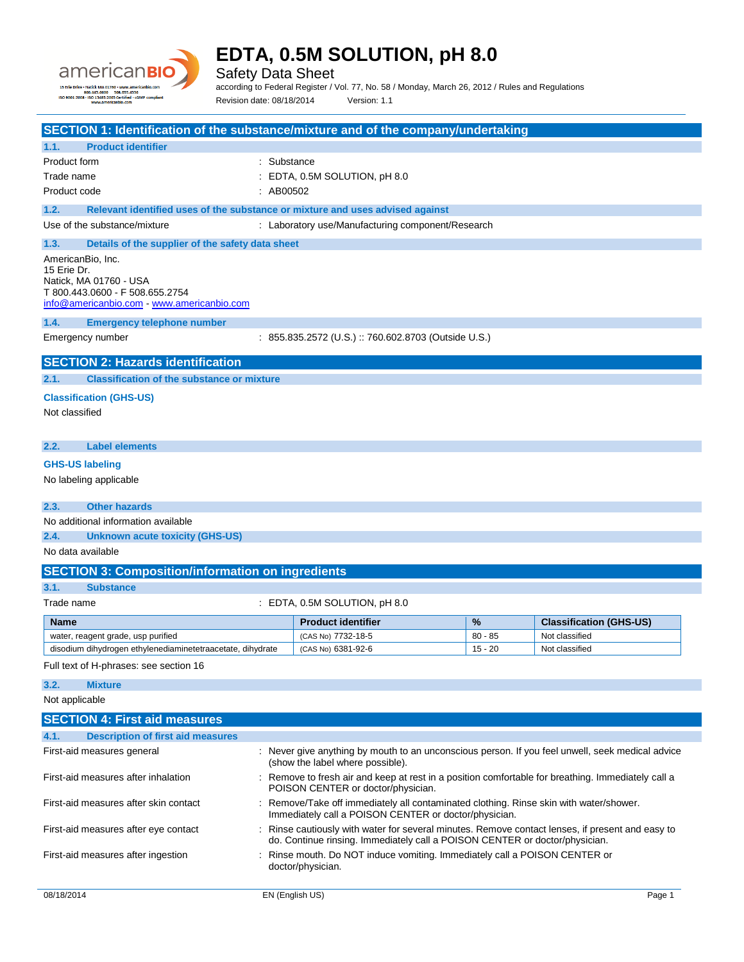

Safety Data Sheet

according to Federal Register / Vol. 77, No. 58 / Monday, March 26, 2012 / Rules and Regulations Revision date: 08/18/2014 Version: 1.1

| SECTION 1: Identification of the substance/mixture and of the company/undertaking             |                                                                                                                                                                                 |                                                                                                                                          |           |                                |
|-----------------------------------------------------------------------------------------------|---------------------------------------------------------------------------------------------------------------------------------------------------------------------------------|------------------------------------------------------------------------------------------------------------------------------------------|-----------|--------------------------------|
| <b>Product identifier</b><br>1.1.                                                             |                                                                                                                                                                                 |                                                                                                                                          |           |                                |
| Product form                                                                                  | : Substance                                                                                                                                                                     |                                                                                                                                          |           |                                |
| Trade name                                                                                    |                                                                                                                                                                                 | $\pm$ EDTA, 0.5M SOLUTION, pH 8.0                                                                                                        |           |                                |
| Product code                                                                                  | : AB00502                                                                                                                                                                       |                                                                                                                                          |           |                                |
| 1.2.<br>Relevant identified uses of the substance or mixture and uses advised against         |                                                                                                                                                                                 |                                                                                                                                          |           |                                |
| Use of the substance/mixture                                                                  |                                                                                                                                                                                 | : Laboratory use/Manufacturing component/Research                                                                                        |           |                                |
| 1.3.<br>Details of the supplier of the safety data sheet                                      |                                                                                                                                                                                 |                                                                                                                                          |           |                                |
| AmericanBio, Inc.                                                                             |                                                                                                                                                                                 |                                                                                                                                          |           |                                |
| 15 Erie Dr.                                                                                   |                                                                                                                                                                                 |                                                                                                                                          |           |                                |
| Natick. MA 01760 - USA                                                                        |                                                                                                                                                                                 |                                                                                                                                          |           |                                |
| T 800.443.0600 - F 508.655.2754<br>info@americanbio.com www.americanbio.com                   |                                                                                                                                                                                 |                                                                                                                                          |           |                                |
| 1.4.<br><b>Emergency telephone number</b>                                                     |                                                                                                                                                                                 |                                                                                                                                          |           |                                |
| Emergency number                                                                              |                                                                                                                                                                                 | : 855.835.2572 (U.S.) :: 760.602.8703 (Outside U.S.)                                                                                     |           |                                |
|                                                                                               |                                                                                                                                                                                 |                                                                                                                                          |           |                                |
| <b>SECTION 2: Hazards identification</b><br><b>Classification of the substance or mixture</b> |                                                                                                                                                                                 |                                                                                                                                          |           |                                |
| 2.1.                                                                                          |                                                                                                                                                                                 |                                                                                                                                          |           |                                |
| <b>Classification (GHS-US)</b>                                                                |                                                                                                                                                                                 |                                                                                                                                          |           |                                |
| Not classified                                                                                |                                                                                                                                                                                 |                                                                                                                                          |           |                                |
| <b>Label elements</b>                                                                         |                                                                                                                                                                                 |                                                                                                                                          |           |                                |
| 2.2.                                                                                          |                                                                                                                                                                                 |                                                                                                                                          |           |                                |
| <b>GHS-US labeling</b>                                                                        |                                                                                                                                                                                 |                                                                                                                                          |           |                                |
| No labeling applicable                                                                        |                                                                                                                                                                                 |                                                                                                                                          |           |                                |
| <b>Other hazards</b><br>2.3.                                                                  |                                                                                                                                                                                 |                                                                                                                                          |           |                                |
| No additional information available                                                           |                                                                                                                                                                                 |                                                                                                                                          |           |                                |
| 2.4.<br><b>Unknown acute toxicity (GHS-US)</b>                                                |                                                                                                                                                                                 |                                                                                                                                          |           |                                |
| No data available                                                                             |                                                                                                                                                                                 |                                                                                                                                          |           |                                |
| <b>SECTION 3: Composition/information on ingredients</b>                                      |                                                                                                                                                                                 |                                                                                                                                          |           |                                |
| 3.1.<br><b>Substance</b>                                                                      |                                                                                                                                                                                 |                                                                                                                                          |           |                                |
| Trade name                                                                                    |                                                                                                                                                                                 | $\pm$ EDTA, 0.5M SOLUTION, pH 8.0                                                                                                        |           |                                |
| Name                                                                                          |                                                                                                                                                                                 | <b>Product identifier</b>                                                                                                                | %         | <b>Classification (GHS-US)</b> |
| water, reagent grade, usp purified                                                            |                                                                                                                                                                                 | (CAS No) 7732-18-5                                                                                                                       | $80 - 85$ | Not classified                 |
| disodium dihydrogen ethylenediaminetetraacetate, dihydrate                                    |                                                                                                                                                                                 | (CAS No) 6381-92-6                                                                                                                       | $15 - 20$ | Not classified                 |
| Full text of H-phrases: see section 16                                                        |                                                                                                                                                                                 |                                                                                                                                          |           |                                |
| 3.2.<br><b>Mixture</b>                                                                        |                                                                                                                                                                                 |                                                                                                                                          |           |                                |
| Not applicable                                                                                |                                                                                                                                                                                 |                                                                                                                                          |           |                                |
| <b>SECTION 4: First aid measures</b>                                                          |                                                                                                                                                                                 |                                                                                                                                          |           |                                |
| 4.1.<br><b>Description of first aid measures</b>                                              |                                                                                                                                                                                 |                                                                                                                                          |           |                                |
| First-aid measures general                                                                    |                                                                                                                                                                                 | : Never give anything by mouth to an unconscious person. If you feel unwell, seek medical advice<br>(show the label where possible).     |           |                                |
| First-aid measures after inhalation                                                           |                                                                                                                                                                                 | : Remove to fresh air and keep at rest in a position comfortable for breathing. Immediately call a<br>POISON CENTER or doctor/physician. |           |                                |
| First-aid measures after skin contact                                                         | : Remove/Take off immediately all contaminated clothing. Rinse skin with water/shower.<br>Immediately call a POISON CENTER or doctor/physician.                                 |                                                                                                                                          |           |                                |
| First-aid measures after eye contact                                                          | : Rinse cautiously with water for several minutes. Remove contact lenses, if present and easy to<br>do. Continue rinsing. Immediately call a POISON CENTER or doctor/physician. |                                                                                                                                          |           |                                |
| First-aid measures after ingestion                                                            | : Rinse mouth. Do NOT induce vomiting. Immediately call a POISON CENTER or<br>doctor/physician.                                                                                 |                                                                                                                                          |           |                                |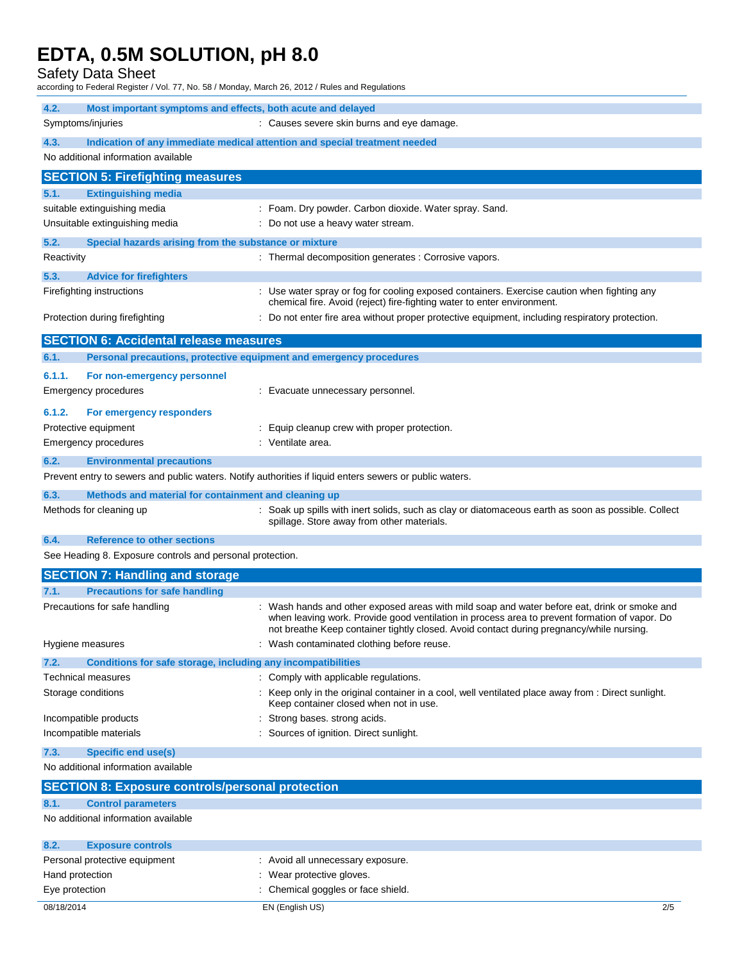Safety Data Sheet

according to Federal Register / Vol. 77, No. 58 / Monday, March 26, 2012 / Rules and Regulations

| 4.2.<br>Most important symptoms and effects, both acute and delayed                                     |                                                                                                                                                                        |
|---------------------------------------------------------------------------------------------------------|------------------------------------------------------------------------------------------------------------------------------------------------------------------------|
| Symptoms/injuries                                                                                       | : Causes severe skin burns and eye damage.                                                                                                                             |
| 4.3.<br>Indication of any immediate medical attention and special treatment needed                      |                                                                                                                                                                        |
| No additional information available                                                                     |                                                                                                                                                                        |
| <b>SECTION 5: Firefighting measures</b>                                                                 |                                                                                                                                                                        |
| <b>Extinguishing media</b><br>5.1.                                                                      |                                                                                                                                                                        |
| suitable extinguishing media                                                                            | : Foam. Dry powder. Carbon dioxide. Water spray. Sand.                                                                                                                 |
| Unsuitable extinguishing media                                                                          | : Do not use a heavy water stream.                                                                                                                                     |
| 5.2.<br>Special hazards arising from the substance or mixture                                           |                                                                                                                                                                        |
| Reactivity                                                                                              | : Thermal decomposition generates : Corrosive vapors.                                                                                                                  |
|                                                                                                         |                                                                                                                                                                        |
| 5.3.<br><b>Advice for firefighters</b>                                                                  |                                                                                                                                                                        |
| Firefighting instructions                                                                               | : Use water spray or fog for cooling exposed containers. Exercise caution when fighting any<br>chemical fire. Avoid (reject) fire-fighting water to enter environment. |
| Protection during firefighting                                                                          | Do not enter fire area without proper protective equipment, including respiratory protection.                                                                          |
|                                                                                                         |                                                                                                                                                                        |
| <b>SECTION 6: Accidental release measures</b>                                                           |                                                                                                                                                                        |
| Personal precautions, protective equipment and emergency procedures<br>6.1.                             |                                                                                                                                                                        |
| 6.1.1.<br>For non-emergency personnel                                                                   |                                                                                                                                                                        |
| <b>Emergency procedures</b>                                                                             | : Evacuate unnecessary personnel.                                                                                                                                      |
|                                                                                                         |                                                                                                                                                                        |
| 6.1.2.<br>For emergency responders                                                                      |                                                                                                                                                                        |
| Protective equipment                                                                                    | : Equip cleanup crew with proper protection.                                                                                                                           |
| Emergency procedures                                                                                    | : Ventilate area.                                                                                                                                                      |
| 6.2.<br><b>Environmental precautions</b>                                                                |                                                                                                                                                                        |
| Prevent entry to sewers and public waters. Notify authorities if liquid enters sewers or public waters. |                                                                                                                                                                        |
| Methods and material for containment and cleaning up<br>6.3.                                            |                                                                                                                                                                        |
| Methods for cleaning up                                                                                 | : Soak up spills with inert solids, such as clay or diatomaceous earth as soon as possible. Collect                                                                    |
|                                                                                                         | spillage. Store away from other materials.                                                                                                                             |
| <b>Reference to other sections</b><br>6.4.                                                              |                                                                                                                                                                        |
| See Heading 8. Exposure controls and personal protection.                                               |                                                                                                                                                                        |
| <b>SECTION 7: Handling and storage</b>                                                                  |                                                                                                                                                                        |
| <b>Precautions for safe handling</b><br>7.1.                                                            |                                                                                                                                                                        |
| Precautions for safe handling                                                                           | : Wash hands and other exposed areas with mild soap and water before eat, drink or smoke and                                                                           |
|                                                                                                         | when leaving work. Provide good ventilation in process area to prevent formation of vapor. Do                                                                          |
|                                                                                                         | not breathe Keep container tightly closed. Avoid contact during pregnancy/while nursing.                                                                               |
| Hygiene measures                                                                                        | : Wash contaminated clothing before reuse.                                                                                                                             |
| 7.2.<br>Conditions for safe storage, including any incompatibilities                                    |                                                                                                                                                                        |
| Technical measures                                                                                      | Comply with applicable regulations.                                                                                                                                    |
| Storage conditions                                                                                      | Keep only in the original container in a cool, well ventilated place away from : Direct sunlight.<br>Keep container closed when not in use.                            |
| Incompatible products                                                                                   | Strong bases. strong acids.                                                                                                                                            |
| Incompatible materials                                                                                  | : Sources of ignition. Direct sunlight.                                                                                                                                |
| 7.3.<br>Specific end use(s)                                                                             |                                                                                                                                                                        |
| No additional information available                                                                     |                                                                                                                                                                        |
| <b>SECTION 8: Exposure controls/personal protection</b>                                                 |                                                                                                                                                                        |
| <b>Control parameters</b><br>8.1.                                                                       |                                                                                                                                                                        |
| No additional information available                                                                     |                                                                                                                                                                        |
| 8.2.<br><b>Exposure controls</b>                                                                        |                                                                                                                                                                        |
| Personal protective equipment                                                                           | : Avoid all unnecessary exposure.                                                                                                                                      |
| Hand protection                                                                                         | : Wear protective gloves.                                                                                                                                              |
| Eye protection                                                                                          | : Chemical goggles or face shield.                                                                                                                                     |
| 08/18/2014                                                                                              | EN (English US)<br>2/5                                                                                                                                                 |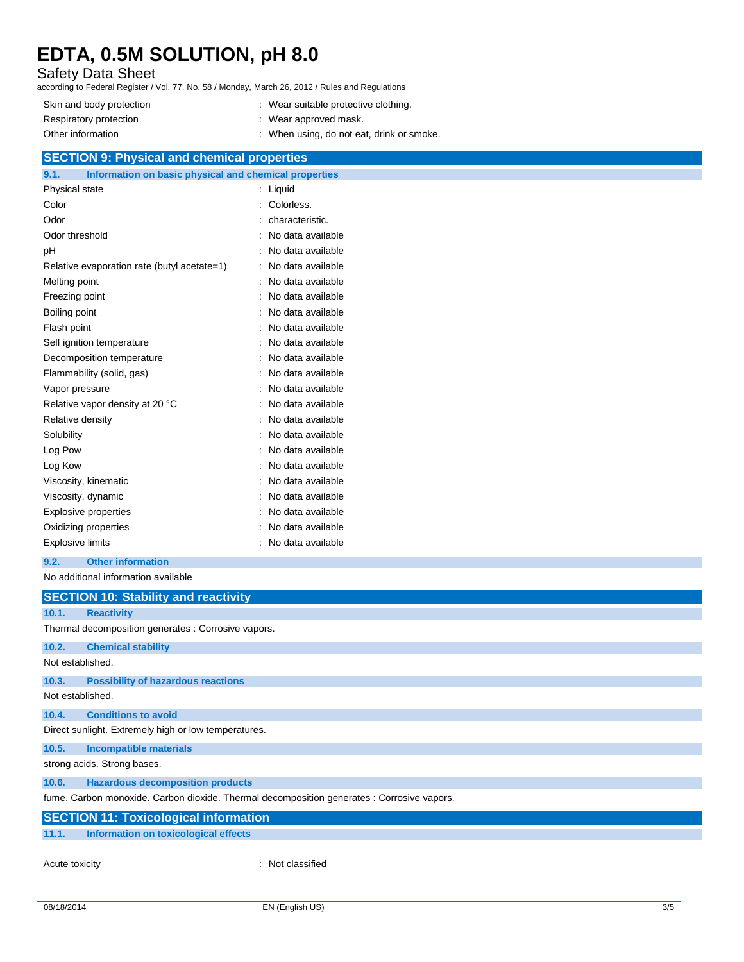### Safety Data Sheet

according to Federal Register / Vol. 77, No. 58 / Monday, March 26, 2012 / Rules and Regulations

| Skin and body protection | : Wear suitable protective clothing.    |
|--------------------------|-----------------------------------------|
| Respiratory protection   | Wear approved mask.                     |
| Other information        | When using, do not eat, drink or smoke. |

### **SECTION 9: Physical and chemical properties**

| Information on basic physical and chemical properties<br>9.1. |                   |
|---------------------------------------------------------------|-------------------|
| Physical state                                                | Liquid            |
| Color                                                         | Colorless.        |
| Odor                                                          | characteristic.   |
| Odor threshold                                                | No data available |
| рH                                                            | No data available |
| Relative evaporation rate (butyl acetate=1)                   | No data available |
| Melting point                                                 | No data available |
| Freezing point                                                | No data available |
| Boiling point                                                 | No data available |
| Flash point                                                   | No data available |
| Self ignition temperature                                     | No data available |
| Decomposition temperature                                     | No data available |
| Flammability (solid, gas)                                     | No data available |
| Vapor pressure                                                | No data available |
| Relative vapor density at 20 °C                               | No data available |
| Relative density                                              | No data available |
| Solubility                                                    | No data available |
| Log Pow                                                       | No data available |
| Log Kow                                                       | No data available |
| Viscosity, kinematic                                          | No data available |
| Viscosity, dynamic                                            | No data available |
| <b>Explosive properties</b>                                   | No data available |
| Oxidizing properties                                          | No data available |
| <b>Explosive limits</b>                                       | No data available |

#### **9.2. Other information**

#### No additional information available

| <u>ivu auguudi al lillulliauuli avallable</u> |                                                                                            |  |  |
|-----------------------------------------------|--------------------------------------------------------------------------------------------|--|--|
|                                               | <b>SECTION 10: Stability and reactivity</b>                                                |  |  |
| 10.1.                                         | <b>Reactivity</b>                                                                          |  |  |
|                                               | Thermal decomposition generates : Corrosive vapors.                                        |  |  |
| 10.2.                                         | <b>Chemical stability</b>                                                                  |  |  |
| Not established.                              |                                                                                            |  |  |
| 10.3.                                         | <b>Possibility of hazardous reactions</b>                                                  |  |  |
| Not established.                              |                                                                                            |  |  |
| 10.4.                                         | <b>Conditions to avoid</b>                                                                 |  |  |
|                                               | Direct sunlight. Extremely high or low temperatures.                                       |  |  |
| 10.5.                                         | <b>Incompatible materials</b>                                                              |  |  |
| strong acids. Strong bases.                   |                                                                                            |  |  |
| 10.6.                                         | <b>Hazardous decomposition products</b>                                                    |  |  |
|                                               | fume. Carbon monoxide. Carbon dioxide. Thermal decomposition generates : Corrosive vapors. |  |  |
|                                               | <b>SECTION 11: Toxicological information</b>                                               |  |  |
| 11.1.                                         | Information on toxicological effects                                                       |  |  |

Acute toxicity **in the case of the contract of the contract of the contract of the contract of the contract of the contract of the contract of the contract of the contract of the contract of the contract of the contract of**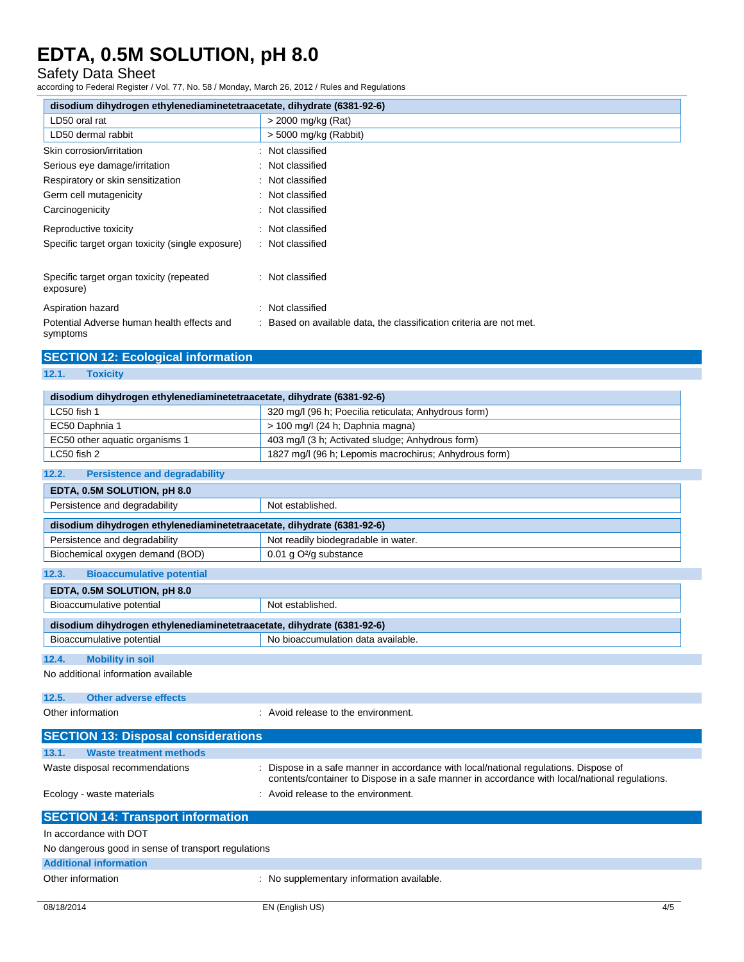#### Safety Data Sheet

according to Federal Register / Vol. 77, No. 58 / Monday, March 26, 2012 / Rules and Regulations

| disodium dihydrogen ethylenediaminetetraacetate, dihydrate (6381-92-6) |                                                                     |  |  |
|------------------------------------------------------------------------|---------------------------------------------------------------------|--|--|
| LD50 oral rat                                                          | > 2000 mg/kg (Rat)                                                  |  |  |
| LD50 dermal rabbit                                                     | > 5000 mg/kg (Rabbit)                                               |  |  |
| Skin corrosion/irritation                                              | : Not classified                                                    |  |  |
| Serious eye damage/irritation                                          | : Not classified                                                    |  |  |
| Respiratory or skin sensitization                                      | : Not classified                                                    |  |  |
| Germ cell mutagenicity                                                 | : Not classified                                                    |  |  |
| Carcinogenicity                                                        | : Not classified                                                    |  |  |
| Reproductive toxicity                                                  | : Not classified                                                    |  |  |
| Specific target organ toxicity (single exposure)                       | : Not classified                                                    |  |  |
| Specific target organ toxicity (repeated<br>exposure)                  | : Not classified                                                    |  |  |
| Aspiration hazard                                                      | : Not classified                                                    |  |  |
| Potential Adverse human health effects and<br>symptoms                 | : Based on available data, the classification criteria are not met. |  |  |

### **SECTION 12: Ecological information**

**12.1. Toxicity**

| disodium dihydrogen ethylenediaminetetraacetate, dihydrate (6381-92-6) |                                                                                                                                                                                     |  |  |  |  |  |
|------------------------------------------------------------------------|-------------------------------------------------------------------------------------------------------------------------------------------------------------------------------------|--|--|--|--|--|
| LC50 fish 1                                                            | 320 mg/l (96 h; Poecilia reticulata; Anhydrous form)                                                                                                                                |  |  |  |  |  |
| EC50 Daphnia 1                                                         | > 100 mg/l (24 h; Daphnia magna)                                                                                                                                                    |  |  |  |  |  |
| EC50 other aquatic organisms 1                                         | 403 mg/l (3 h; Activated sludge; Anhydrous form)                                                                                                                                    |  |  |  |  |  |
| LC50 fish 2                                                            | 1827 mg/l (96 h; Lepomis macrochirus; Anhydrous form)                                                                                                                               |  |  |  |  |  |
| 12.2.<br><b>Persistence and degradability</b>                          |                                                                                                                                                                                     |  |  |  |  |  |
| EDTA, 0.5M SOLUTION, pH 8.0                                            |                                                                                                                                                                                     |  |  |  |  |  |
| Persistence and degradability                                          | Not established.                                                                                                                                                                    |  |  |  |  |  |
| disodium dihydrogen ethylenediaminetetraacetate, dihydrate (6381-92-6) |                                                                                                                                                                                     |  |  |  |  |  |
| Persistence and degradability                                          | Not readily biodegradable in water.                                                                                                                                                 |  |  |  |  |  |
| Biochemical oxygen demand (BOD)                                        | 0.01 g O <sup>2</sup> /g substance                                                                                                                                                  |  |  |  |  |  |
| 12.3.<br><b>Bioaccumulative potential</b>                              |                                                                                                                                                                                     |  |  |  |  |  |
| EDTA, 0.5M SOLUTION, pH 8.0                                            |                                                                                                                                                                                     |  |  |  |  |  |
| Bioaccumulative potential                                              | Not established.                                                                                                                                                                    |  |  |  |  |  |
| disodium dihydrogen ethylenediaminetetraacetate, dihydrate (6381-92-6) |                                                                                                                                                                                     |  |  |  |  |  |
| Bioaccumulative potential                                              | No bioaccumulation data available.                                                                                                                                                  |  |  |  |  |  |
| <b>Mobility in soil</b><br>12.4.                                       |                                                                                                                                                                                     |  |  |  |  |  |
| No additional information available                                    |                                                                                                                                                                                     |  |  |  |  |  |
| <b>Other adverse effects</b><br>12.5.                                  |                                                                                                                                                                                     |  |  |  |  |  |
| Other information                                                      | : Avoid release to the environment.                                                                                                                                                 |  |  |  |  |  |
| <b>SECTION 13: Disposal considerations</b>                             |                                                                                                                                                                                     |  |  |  |  |  |
| 13.1.<br><b>Waste treatment methods</b>                                |                                                                                                                                                                                     |  |  |  |  |  |
| Waste disposal recommendations                                         | Dispose in a safe manner in accordance with local/national regulations. Dispose of<br>contents/container to Dispose in a safe manner in accordance with local/national regulations. |  |  |  |  |  |
| Ecology - waste materials                                              | : Avoid release to the environment.                                                                                                                                                 |  |  |  |  |  |
| <b>SECTION 14: Transport information</b>                               |                                                                                                                                                                                     |  |  |  |  |  |
| In accordance with DOT                                                 |                                                                                                                                                                                     |  |  |  |  |  |
| No dangerous good in sense of transport regulations                    |                                                                                                                                                                                     |  |  |  |  |  |
| <b>Additional information</b>                                          |                                                                                                                                                                                     |  |  |  |  |  |
| Other information                                                      | : No supplementary information available.                                                                                                                                           |  |  |  |  |  |
|                                                                        |                                                                                                                                                                                     |  |  |  |  |  |